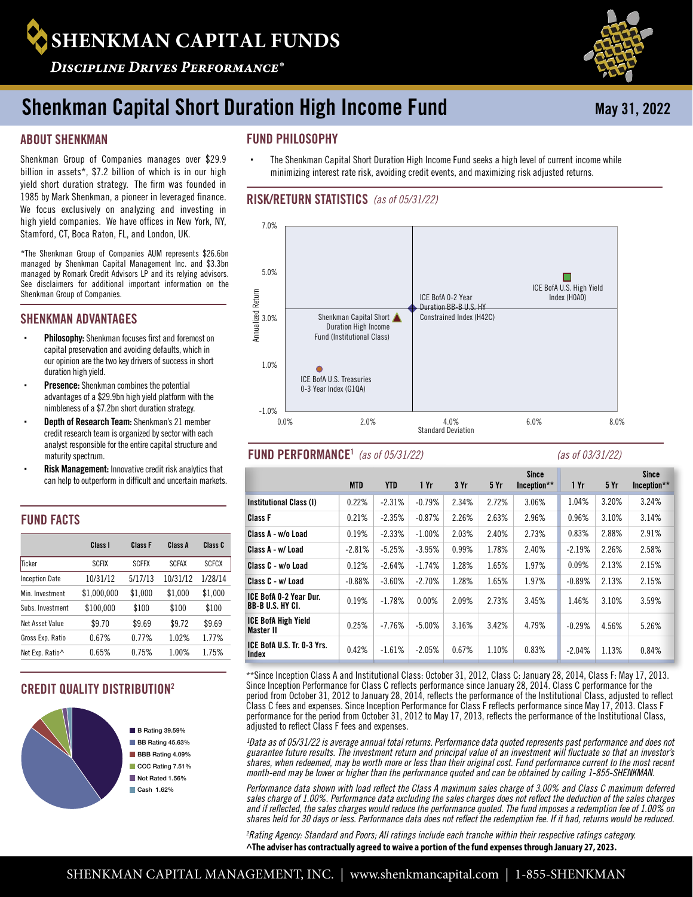# **SHENKMAN CAPITAL FUNDS**

**DISCIPLINE DRIVES PERFORMANCE®** 

# Shenkman Capital Short Duration High Income Fund

# ABOUT SHENKMAN

Shenkman Group of Companies manages over \$29.9 billion in assets\*, \$7.2 billion of which is in our high yield short duration strategy. The firm was founded in 1985 by Mark Shenkman, a pioneer in leveraged finance. We focus exclusively on analyzing and investing in high yield companies. We have offices in New York, NY, Stamford, CT, Boca Raton, FL, and London, UK.

\*The Shenkman Group of Companies AUM represents \$26.6bn managed by Shenkman Capital Management Inc. and \$3.3bn managed by Romark Credit Advisors LP and its relying advisors. See disclaimers for additional important information on the Shenkman Group of Companies.

# SHENKMAN ADVANTAGES

- Philosophy: Shenkman focuses first and foremost on capital preservation and avoiding defaults, which in our opinion are the two key drivers of success in short duration high yield.
- Presence: Shenkman combines the potential advantages of a \$29.9bn high yield platform with the nimbleness of a \$7.2bn short duration strategy.
- Depth of Research Team: Shenkman's 21 member credit research team is organized by sector with each analyst responsible for the entire capital structure and maturity spectrum.
- Risk Management: Innovative credit risk analytics that can help to outperform in difficult and uncertain markets.

# FUND FACTS

|                       | Class I      | Class F      | Class A      | Class C      |
|-----------------------|--------------|--------------|--------------|--------------|
| Ticker                | <b>SCFIX</b> | <b>SCFFX</b> | <b>SCFAX</b> | <b>SCFCX</b> |
| <b>Inception Date</b> | 10/31/12     | 5/17/13      | 10/31/12     | 1/28/14      |
| Min. Investment       | \$1.000.000  | \$1.000      | \$1.000      | \$1,000      |
| Subs. Investment      | \$100.000    | \$100        | \$100        | \$100        |
| Net Asset Value       | \$9.70       | \$9.69       | \$9.72       | \$9.69       |
| Gross Exp. Ratio      | 0.67%        | 0.77%        | 1.02%        | 1.77%        |
| Net Exp. Ratio^       | 0.65%        | 0.75%        | 1.00%        | 1.75%        |

# CREDIT QUALITY DISTRIBUTION2



 $\blacksquare$  B Rating 39.59% BB Rating 45.63% **BBB** Rating 4.09% CCC Rating 7.51% Not Rated 1.56% Cash 1.62%

# FUND PHILOSOPHY

 The Shenkman Capital Short Duration High Income Fund seeks a high level of current income while minimizing interest rate risk, avoiding credit events, and maximizing risk adjusted returns.

## RISK/RETURN STATISTICS *(as of 05/31/22)*



# FUND PERFORMANCE<sup>1</sup> (as of 05/31/22)

#### *(as of 05/31/22) (as of 03/31/22)*

|                                                         | <b>MTD</b> | <b>YTD</b> | 1 Yr     | 3 Yr  | 5Yr   | <b>Since</b><br>Inception** | 1 Yr     | 5 Yr  | Since<br>Inception** |
|---------------------------------------------------------|------------|------------|----------|-------|-------|-----------------------------|----------|-------|----------------------|
| Institutional Class (I)                                 | 0.22%      | $-2.31%$   | $-0.79%$ | 2.34% | 2.72% | 3.06%                       | 1.04%    | 3.20% | 3.24%                |
| <b>Class F</b>                                          | 0.21%      | $-2.35%$   | $-0.87%$ | 2.26% | 2.63% | 2.96%                       | 0.96%    | 3.10% | 3.14%                |
| Class A - w/o Load                                      | 0.19%      | $-2.33%$   | $-1.00%$ | 2.03% | 2.40% | 2.73%                       | 0.83%    | 2.88% | 2.91%                |
| Class A - w/ Load                                       | $-2.81%$   | $-5.25%$   | $-3.95%$ | 0.99% | 1.78% | 2.40%                       | $-2.19%$ | 2.26% | 2.58%                |
| Class C - w/o Load                                      | 0.12%      | $-2.64%$   | $-1.74%$ | 1.28% | 1.65% | 1.97%                       | 0.09%    | 2.13% | 2.15%                |
| Class C - w/ Load                                       | $-0.88%$   | $-3.60%$   | $-2.70%$ | 1.28% | 1.65% | 1.97%                       | $-0.89%$ | 2.13% | 2.15%                |
| <b>ICE BofA 0-2 Year Dur.</b><br><b>BB-BU.S. HY CI.</b> | 0.19%      | $-1.78%$   | 0.00%    | 2.09% | 2.73% | 3.45%                       | 1.46%    | 3.10% | 3.59%                |
| <b>ICE BofA High Yield</b><br><b>Master II</b>          | 0.25%      | $-7.76%$   | $-5.00%$ | 3.16% | 3.42% | 4.79%                       | $-0.29%$ | 4.56% | 5.26%                |
| ICE BofA U.S. Tr. 0-3 Yrs.<br>Index                     | 0.42%      | $-1.61%$   | $-2.05%$ | 0.67% | 1.10% | 0.83%                       | $-2.04%$ | 1.13% | 0.84%                |

\*\*Since Inception Class A and Institutional Class: October 31, 2012, Class C: January 28, 2014, Class F: May 17, 2013. Since Inception Performance for Class C reflects performance since January 28, 2014. Class C performance for the period from October 31, 2012 to January 28, 2014, reflects the performance of the Institutional Class, adjusted to reflect Class C fees and expenses. Since Inception Performance for Class F reflects performance since May 17, 2013. Class F performance for the period from October 31, 2012 to May 17, 2013, reflects the performance of the Institutional Class, adjusted to reflect Class F fees and expenses.

<sup>1</sup>Data as of 05/31/22 is average annual total returns. Performance data quoted represents past performance and does not *guarantee future results. The investment return and principal value of an investment will fluctuate so that an investor's shares, when redeemed, may be worth more or less than their original cost. Fund performance current to the most recent month-end may be lower or higher than the performance quoted and can be obtained by calling 1-855-SHENKMAN.*

*Performance data shown with load reflect the Class A maximum sales charge of 3.00% and Class C maximum deferred sales charge of 1.00%. Performance data excluding the sales charges does not reflect the deduction of the sales charges and if reflected, the sales charges would reduce the performance quoted. The fund imposes a redemption fee of 1.00% on shares held for 30 days or less. Performance data does not reflect the redemption fee. If it had, returns would be reduced.*

*2 Rating Agency: Standard and Poors; All ratings include each tranche within their respective ratings category.* **^The adviser has contractually agreed to waive a portion of the fund expenses through January 27, 2023.**



May 31, 2022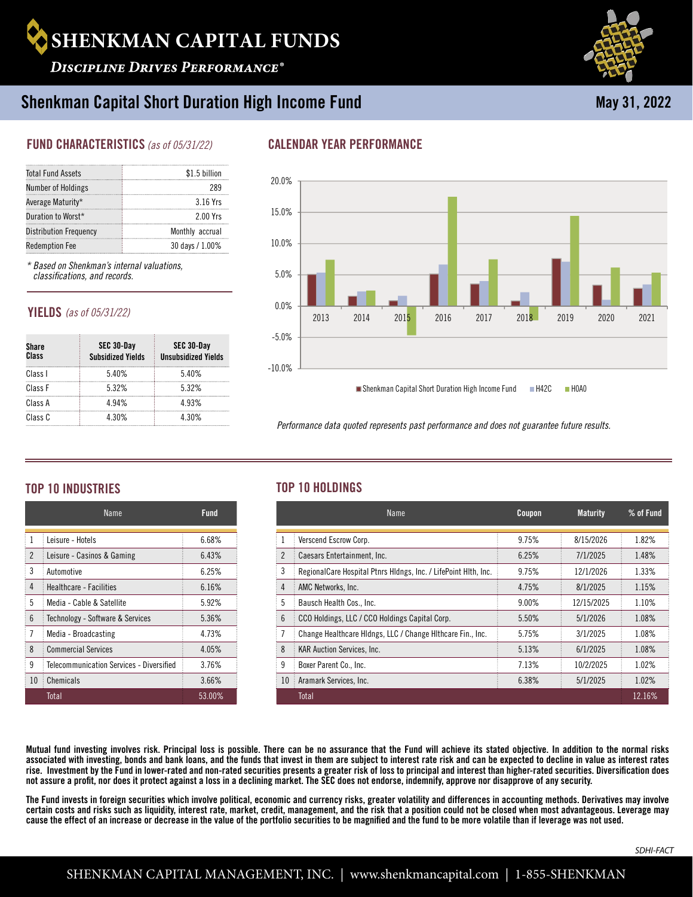

**DISCIPLINE DRIVES PERFORMANCE®** 

# Shenkman Capital Short Duration High Income Fund

# FUND CHARACTERISTICS *(as of 05/31/22)*

| <b>Total Fund Assets</b>      | \$1.5 billion   |
|-------------------------------|-----------------|
| Number of Holdings            | 289             |
| Average Maturity*             | 3.16 Yrs        |
| Duration to Worst*            | 2.00 Yrs        |
| <b>Distribution Frequency</b> | Monthly accrual |
| <b>Redemption Fee</b>         | 30 days / 1.00% |
|                               |                 |

*\* Based on Shenkman's internal valuations, classifications, and records.* 

# YIELDS *(as of 05/31/22)*

| <b>Share</b><br>Class | SEC 30-Day<br><b>Subsidized Yields</b> | SEC 30-Day<br><b>Unsubsidized Yields</b> |
|-----------------------|----------------------------------------|------------------------------------------|
| Class I               | 5.40%                                  | 5.40%                                    |
| Class F               | 532%                                   | 532%                                     |
| Class A               | 4 94%                                  | 4 9 3%                                   |
| Class C               | 4 30%                                  | 4 30%                                    |

# CALENDAR YEAR PERFORMANCE



*Performance data quoted represents past performance and does not guarantee future results.* 

# TOP 10 INDUSTRIES TOP 10 HOLDINGS

|                 | Name                                     | Fund   |  |
|-----------------|------------------------------------------|--------|--|
| 1               | Leisure - Hotels                         | 6.68%  |  |
| $\mathfrak{p}$  | Leisure - Casinos & Gaming               | 6.43%  |  |
| 3               | Automotive                               | 6.25%  |  |
| 4               | Healthcare - Facilities                  | 6.16%  |  |
| 5               | Media - Cable & Satellite                | 5.92%  |  |
| $6\overline{6}$ | Technology - Software & Services         | 5.36%  |  |
| 7               | Media - Broadcasting                     | 4.73%  |  |
| 8               | <b>Commercial Services</b>               | 4.05%  |  |
| 9               | Telecommunication Services - Diversified | 3.76%  |  |
| 10              | Chemicals                                | 3.66%  |  |
|                 | Total                                    | 53.00% |  |

|                 | Name                                                            | Coupon | <b>Maturity</b> | $%$ of Fund |
|-----------------|-----------------------------------------------------------------|--------|-----------------|-------------|
| -1              | Verscend Escrow Corp.                                           | 9.75%  | 8/15/2026       | 1.82%       |
| $\overline{2}$  | Caesars Entertainment, Inc.                                     | 6.25%  | 7/1/2025        | 1.48%       |
| 3               | RegionalCare Hospital Ptnrs Hidngs, Inc. / LifePoint Hith, Inc. | 9.75%  | 12/1/2026       | 1.33%       |
| $\overline{4}$  | AMC Networks, Inc.                                              | 4.75%  | 8/1/2025        | 1.15%       |
| 5               | Bausch Health Cos., Inc.                                        | 9.00%  | 12/15/2025      | 1.10%       |
| $6\overline{6}$ | CCO Holdings, LLC / CCO Holdings Capital Corp.                  | 5.50%  | 5/1/2026        | 1.08%       |
| $\overline{7}$  | Change Healthcare Hidngs, LLC / Change Hithcare Fin., Inc.      | 5.75%  | 3/1/2025        | 1.08%       |
| 8               | <b>KAR Auction Services, Inc.</b>                               | 5.13%  | 6/1/2025        | 1.08%       |
| 9               | Boxer Parent Co., Inc.                                          | 7.13%  | 10/2/2025       | 1.02%       |
| 10              | Aramark Services, Inc.                                          | 6.38%  | 5/1/2025        | 1.02%       |
|                 | Total                                                           |        |                 | 12.16%      |

Mutual fund investing involves risk. Principal loss is possible. There can be no assurance that the Fund will achieve its stated objective. In addition to the normal risks associated with investing, bonds and bank loans, and the funds that invest in them are subject to interest rate risk and can be expected to decline in value as interest rates rise. Investment by the Fund in lower-rated and non-rated securities presents a greater risk of loss to principal and interest than higher-rated securities. Diversification does not assure a profit, nor does it protect against a loss in a declining market. The SEC does not endorse, indemnify, approve nor disapprove of any security.

The Fund invests in foreign securities which involve political, economic and currency risks, greater volatility and differences in accounting methods. Derivatives may involve certain costs and risks such as liquidity, interest rate, market, credit, management, and the risk that a position could not be closed when most advantageous. Leverage may cause the effect of an increase or decrease in the value of the portfolio securities to be magnified and the fund to be more volatile than if leverage was not used.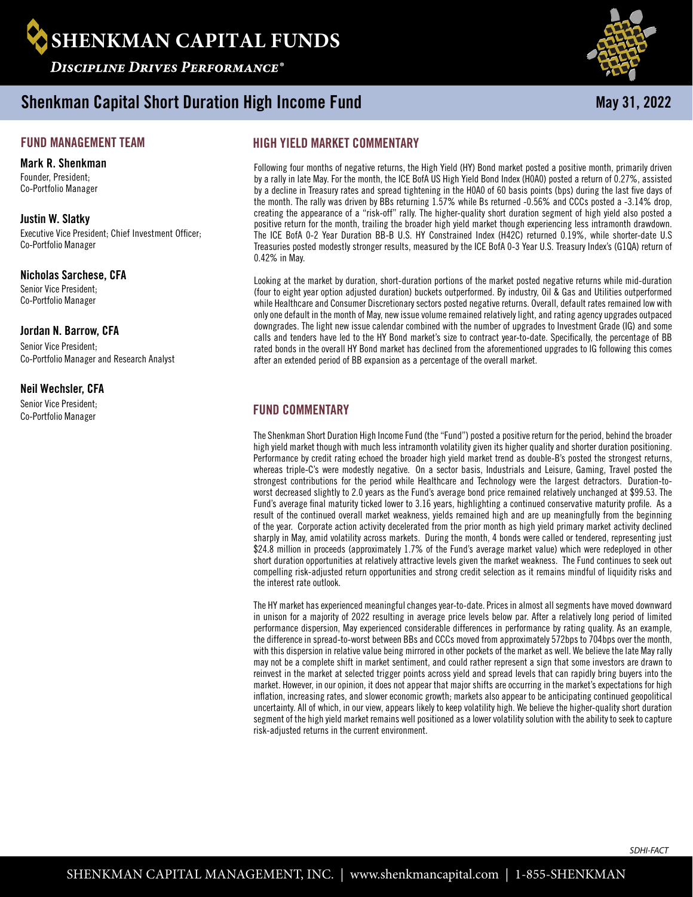

Shenkman Capital Short Duration High Income Fund

## FUND MANAGEMENT TEAM

#### Mark R. Shenkman

Founder, President-Co-Portfolio Manager

### Justin W. Slatky

Executive Vice President; Chief Investment Officer; Co-Portfolio Manager

### Nicholas Sarchese, CFA

Senior Vice President; Co-Portfolio Manager

### Jordan N. Barrow, CFA

Senior Vice President; Co-Portfolio Manager and Research Analyst

#### Neil Wechsler, CFA

Senior Vice President; Co-Portfolio Manager

# HIGH YIELD MARKET COMMENTARY

Following four months of negative returns, the High Yield (HY) Bond market posted a positive month, primarily driven by a rally in late May. For the month, the ICE BofA US High Yield Bond Index (H0A0) posted a return of 0.27%, assisted by a decline in Treasury rates and spread tightening in the H0A0 of 60 basis points (bps) during the last five days of the month. The rally was driven by BBs returning 1.57% while Bs returned -0.56% and CCCs posted a -3.14% drop, creating the appearance of a "risk-off" rally. The higher-quality short duration segment of high yield also posted a positive return for the month, trailing the broader high yield market though experiencing less intramonth drawdown. The ICE BofA 0-2 Year Duration BB-B U.S. HY Constrained Index (H42C) returned 0.19%, while shorter-date U.S Treasuries posted modestly stronger results, measured by the ICE BofA 0-3 Year U.S. Treasury Index's (G1QA) return of 0.42% in May.

Looking at the market by duration, short-duration portions of the market posted negative returns while mid-duration (four to eight year option adjusted duration) buckets outperformed. By industry, Oil & Gas and Utilities outperformed while Healthcare and Consumer Discretionary sectors posted negative returns. Overall, default rates remained low with only one default in the month of May, new issue volume remained relatively light, and rating agency upgrades outpaced downgrades. The light new issue calendar combined with the number of upgrades to Investment Grade (IG) and some calls and tenders have led to the HY Bond market's size to contract year-to-date. Specifically, the percentage of BB rated bonds in the overall HY Bond market has declined from the aforementioned upgrades to IG following this comes after an extended period of BB expansion as a percentage of the overall market.

# FUND COMMENTARY

The Shenkman Short Duration High Income Fund (the "Fund") posted a positive return for the period, behind the broader high yield market though with much less intramonth volatility given its higher quality and shorter duration positioning. Performance by credit rating echoed the broader high yield market trend as double-B's posted the strongest returns, whereas triple-C's were modestly negative. On a sector basis, Industrials and Leisure, Gaming, Travel posted the strongest contributions for the period while Healthcare and Technology were the largest detractors. Duration-toworst decreased slightly to 2.0 years as the Fund's average bond price remained relatively unchanged at \$99.53. The Fund's average final maturity ticked lower to 3.16 years, highlighting a continued conservative maturity profile. As a result of the continued overall market weakness, yields remained high and are up meaningfully from the beginning of the year. Corporate action activity decelerated from the prior month as high yield primary market activity declined sharply in May, amid volatility across markets. During the month, 4 bonds were called or tendered, representing just \$24.8 million in proceeds (approximately 1.7% of the Fund's average market value) which were redeployed in other short duration opportunities at relatively attractive levels given the market weakness. The Fund continues to seek out compelling risk-adjusted return opportunities and strong credit selection as it remains mindful of liquidity risks and the interest rate outlook.

The HY market has experienced meaningful changes year-to-date. Prices in almost all segments have moved downward in unison for a majority of 2022 resulting in average price levels below par. After a relatively long period of limited performance dispersion, May experienced considerable differences in performance by rating quality. As an example, the difference in spread-to-worst between BBs and CCCs moved from approximately 572bps to 704bps over the month, with this dispersion in relative value being mirrored in other pockets of the market as well. We believe the late May rally may not be a complete shift in market sentiment, and could rather represent a sign that some investors are drawn to reinvest in the market at selected trigger points across yield and spread levels that can rapidly bring buyers into the market. However, in our opinion, it does not appear that major shifts are occurring in the market's expectations for high inflation, increasing rates, and slower economic growth; markets also appear to be anticipating continued geopolitical uncertainty. All of which, in our view, appears likely to keep volatility high. We believe the higher-quality short duration segment of the high yield market remains well positioned as a lower volatility solution with the ability to seek to capture risk-adjusted returns in the current environment.



May 31, 2022